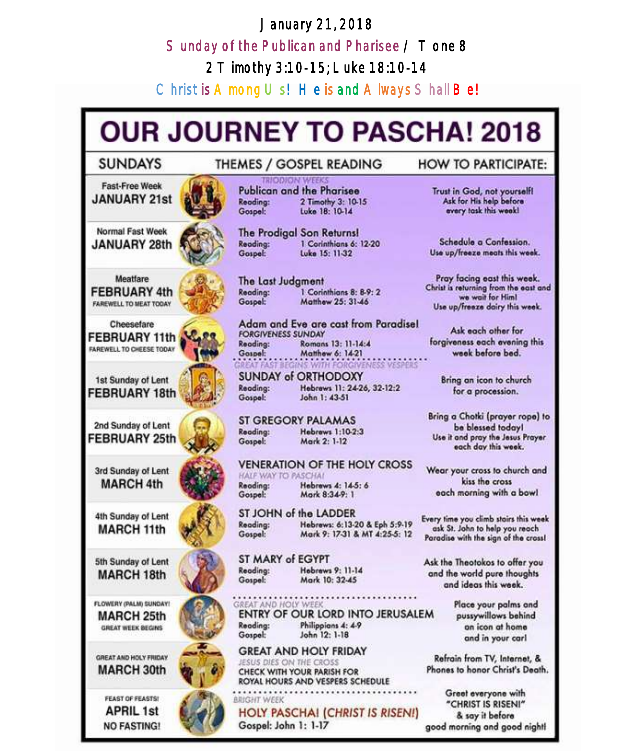# January 21, 2018 Sunday of the Publican and Pharisee / Tone 8 2 Timothy 3:10-15; Luke 18:10-14

Christ is  $A$  mong  $U$  s! He is and  $A$  lways  $S$  hall  $Be$ !

# **OUR JOURNEY TO PASCHA! 2018**

### **SUNDAYS**

# THEMES / GOSPEL READING

**Fast-Free Week JANUARY 21st** 

Normal Fast Week **JANUARY 28th** 



Cheesefare **FEBRUARY 11th** FAREWELL TO CHEESE TODAY

1st Sunday of Lent FEBRUARY 18th

2nd Sunday of Lent **FEBRUARY 25th** 

3rd Sunday of Lent **MARCH 4th** 

4th Sunday of Lent **MARCH 11th** 

5th Sunday of Lent **MARCH 18th** 

FLOWERY (PALM) SUNDAY! **MARCH 25th** GREAT WEEK BEGINS

GREAT AND HOLY FRIDAY **MARCH 30th** 

FEAST OF FEASTS! **APRIL 1st NO FASTING!** 

**JODION WEEK** Publican and the Pharisee Reading: 2 Timothy 3: 10-15 Luke 18: 10-14 Gospel:

The Prodigal Son Returns! 1 Corinthians 6: 12-20 Reading: **Luke 15: 11-32** Gospel:

The Last Judgment 1 Corinthians 8: 8-9: 2 Reading: Gospel: Matthew 25: 31-46

Adam and Eve are cast from Paradisel **FORGIVENESS SUNDAY** Reading: Romans 13: 11-14:4 Gospel: Matthew 6: 14-21 **BEGINS WITH FORGIVENESS VESPERS** 

**SUNDAY of ORTHODOXY** Reading: Hebrews 11: 24-26, 32-12:2 John 1: 43-51 Gospel:

**ST GREGORY PALAMAS** Hebrews 1:10-2:3 Reading: Mark 2: 1-12 Gospel:

**VENERATION OF THE HOLY CROSS** HALF WAY TO PASCHAL Reading: Hebrews 4: 14-5: 6 Gospel: Mark 8:34-9: 1

ST JOHN of the LADDER Hebrews: 6:13-20 & Eph 5:9-19 Reading: Mark 9: 17-31 & MT 4:25-5: 12 Gospel:

ST MARY of EGYPT Hobrews 9: 11-14 Reading: Gospel: Mark 10: 32-45

GREAT AND HOLY WEEK ENTRY OF OUR LORD INTO JERUSALEM Reading: Philippians 4: 4-9 Gospel: John 12: 1-18

**GREAT AND HOLY FRIDAY** JESUS DIES ON THE CROSS CHECK WITH YOUR PARISH FOR ROYAL HOURS AND VESPERS SCHEDULE

**BRIGHT WEEK HOLY PASCHAI (CHRIST IS RISEN!)** Gospel: John 1: 1-17

### **HOW TO PARTICIPATE:**

Trust in God, not yourself!<br>Ask for His help before every task this week!

Schedule a Confession. Use up/freeze meats this week.

Pray facing east this week. Christ is returning from the east and we wait for Him! Use up/freeze dairy this week.

Ask each other for forgiveness each evening this week before bed.

Bring an icon to church for a procession.

Bring a Chotki (prayer rope) to be blessed today! Use it and pray the Jesus Prayer each day this week.

Wear your cross to church and kiss the cross each morning with a bowl

Every time you climb stairs this week ask St. John to help you reach Paradise with the sign of the cross!

Ask the Theotokos to offer you and the world pure thoughts and ideas this week.

> Place your palms and pussywillows behind an icon at home and in your carl

Refrain from TV, Internet, & Phones to honor Christ's Death.

Greet everyone with "CHRIST IS RISENI" & say it before good morning and good night!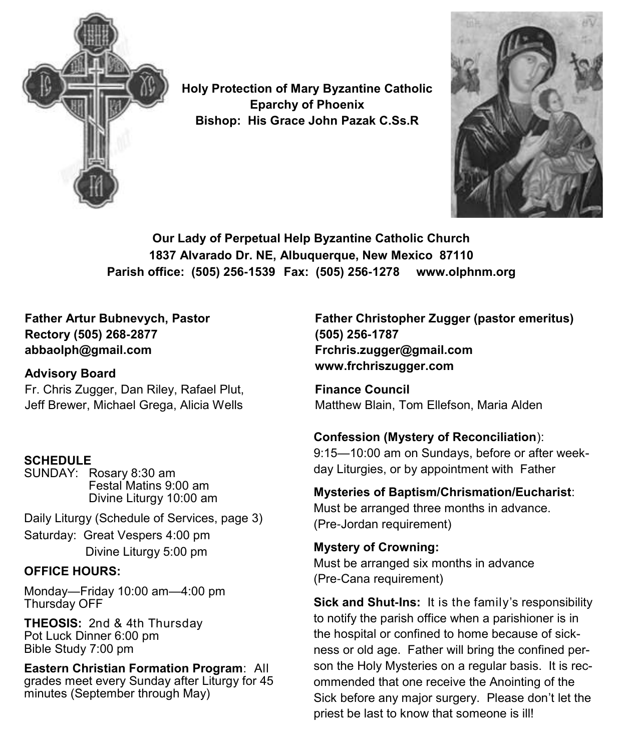

**Holy Protection of Mary Byzantine Catholic Eparchy of Phoenix Bishop: His Grace John Pazak C.Ss.R**



**Our Lady of Perpetual Help Byzantine Catholic Church 1837 Alvarado Dr. NE, Albuquerque, New Mexico 87110 Parish office: (505) 256-1539 Fax: (505) 256-1278 www.olphnm.org**

**Father Artur Bubnevych, Pastor Rectory (505) 268-2877 abbaolph@gmail.com** 

# **Advisory Board**

Fr. Chris Zugger, Dan Riley, Rafael Plut, Jeff Brewer, Michael Grega, Alicia Wells

# **SCHEDULE**

SUNDAY: Rosary 8:30 am Festal Matins 9:00 am Divine Liturgy 10:00 am

Daily Liturgy (Schedule of Services, page 3)

Saturday: Great Vespers 4:00 pm Divine Liturgy 5:00 pm

# **OFFICE HOURS:**

Monday—Friday 10:00 am—4:00 pm Thursday OFF

**THEOSIS:** 2nd & 4th Thursday Pot Luck Dinner 6:00 pm Bible Study 7:00 pm

**Eastern Christian Formation Program**: All grades meet every Sunday after Liturgy for 45 minutes (September through May)

**Father Christopher Zugger (pastor emeritus) (505) 256-1787 Frchris.zugger@gmail.com www.frchriszugger.com** 

**Finance Council**  Matthew Blain, Tom Ellefson, Maria Alden

# **Confession (Mystery of Reconciliation**):

9:15—10:00 am on Sundays, before or after weekday Liturgies, or by appointment with Father

# **Mysteries of Baptism/Chrismation/Eucharist**:

Must be arranged three months in advance. (Pre-Jordan requirement)

### **Mystery of Crowning:**  Must be arranged six months in advance (Pre-Cana requirement)

**Sick and Shut-Ins:** It is the family's responsibility to notify the parish office when a parishioner is in the hospital or confined to home because of sickness or old age. Father will bring the confined person the Holy Mysteries on a regular basis. It is recommended that one receive the Anointing of the Sick before any major surgery. Please don't let the priest be last to know that someone is ill!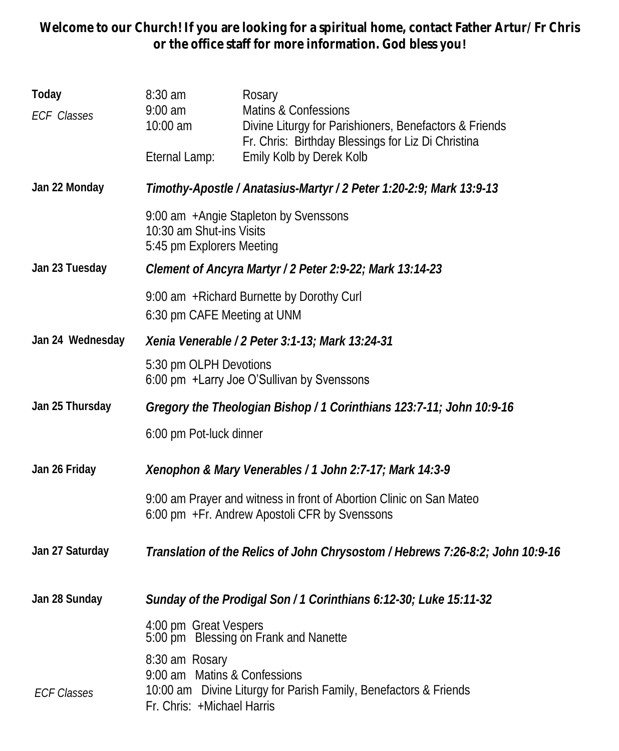**Welcome to our Church! If you are looking for a spiritual home, contact Father Artur/Fr Chris or the office staff for more information. God bless you!**

| Today<br>ECF Classes | 8:30 am<br>$9:00$ am<br>10:00 am                                                                                      | Rosary<br>Matins & Confessions<br>Divine Liturgy for Parishioners, Benefactors & Friends<br>Fr. Chris: Birthday Blessings for Liz Di Christina |  |
|----------------------|-----------------------------------------------------------------------------------------------------------------------|------------------------------------------------------------------------------------------------------------------------------------------------|--|
|                      | Eternal Lamp:                                                                                                         | Emily Kolb by Derek Kolb                                                                                                                       |  |
| Jan 22 Monday        | Timothy-Apostle / Anatasius-Martyr / 2 Peter 1:20-2:9; Mark 13:9-13                                                   |                                                                                                                                                |  |
|                      | 9:00 am + Angie Stapleton by Svenssons<br>10:30 am Shut-ins Visits<br>5:45 pm Explorers Meeting                       |                                                                                                                                                |  |
| Jan 23 Tuesday       | Clement of Ancyra Martyr / 2 Peter 2:9-22; Mark 13:14-23                                                              |                                                                                                                                                |  |
|                      | 9:00 am + Richard Burnette by Dorothy Curl<br>6:30 pm CAFE Meeting at UNM                                             |                                                                                                                                                |  |
| Jan 24 Wednesday     | Xenia Venerable / 2 Peter 3:1-13; Mark 13:24-31                                                                       |                                                                                                                                                |  |
|                      | 5:30 pm OLPH Devotions<br>6:00 pm +Larry Joe O'Sullivan by Svenssons                                                  |                                                                                                                                                |  |
| Jan 25 Thursday      | Gregory the Theologian Bishop / 1 Corinthians 123:7-11; John 10:9-16                                                  |                                                                                                                                                |  |
|                      | 6:00 pm Pot-luck dinner                                                                                               |                                                                                                                                                |  |
| Jan 26 Friday        | Xenophon & Mary Venerables / 1 John 2:7-17; Mark 14:3-9                                                               |                                                                                                                                                |  |
|                      | 9:00 am Prayer and witness in front of Abortion Clinic on San Mateo<br>6:00 pm + Fr. Andrew Apostoli CFR by Svenssons |                                                                                                                                                |  |
| Jan 27 Saturday      |                                                                                                                       | Translation of the Relics of John Chrysostom / Hebrews 7:26-8:2; John 10:9-16                                                                  |  |
| Jan 28 Sunday        | Sunday of the Prodigal Son / 1 Corinthians 6:12-30; Luke 15:11-32                                                     |                                                                                                                                                |  |
|                      | 4:00 pm Great Vespers<br>5:00 pm Blessing on Frank and Nanette                                                        |                                                                                                                                                |  |
| <b>ECF Classes</b>   | 8:30 am Rosary<br>9:00 am Matins & Confessions<br>Fr. Chris: +Michael Harris                                          | 10:00 am Divine Liturgy for Parish Family, Benefactors & Friends                                                                               |  |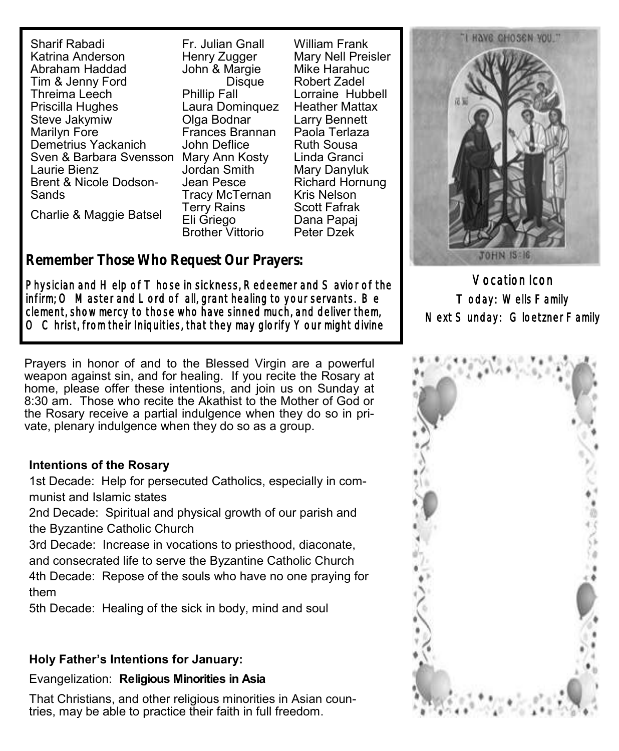Sharif Rabadi Katrina Anderson Abraham Haddad Tim & Jenny Ford Threima Leech Priscilla Hughes Steve Jakymiw Marilyn Fore Demetrius Yackanich Sven & Barbara Svensson Mary Ann Kosty Laurie Bienz Brent & Nicole Dodson-**Sands** 

Charlie & Maggie Batsel

Fr. Julian Gnall Henry Zugger John & Margie **Disque** Phillip Fall Laura Dominquez Olga Bodnar Frances Brannan John Deflice Jordan Smith Jean Pesce Tracy McTernan Terry Rains Eli Griego Brother Vittorio

William Frank Mary Nell Preisler Mike Harahuc Robert Zadel Lorraine Hubbell Heather Mattax Larry Bennett Paola Terlaza Ruth Sousa Linda Granci Mary Danyluk Richard Hornung Kris Nelson Scott Fafrak Dana Papaj Peter Dzek

**Remember Those Who Request Our Prayers:**

Physician and Help of T hose in sickness, Redeemer and S avior of the infirm; O Master and Lord of all, grant healing to your servants. Be clement, show mercy to those who have sinned much, and deliver them, O Christ, from their Iniquities, that they may glorify Your might divine

Prayers in honor of and to the Blessed Virgin are a powerful weapon against sin, and for healing. If you recite the Rosary at home, please offer these intentions, and join us on Sunday at 8:30 am. Those who recite the Akathist to the Mother of God or the Rosary receive a partial indulgence when they do so in private, plenary indulgence when they do so as a group.

### **Intentions of the Rosary**

1st Decade: Help for persecuted Catholics, especially in communist and Islamic states

2nd Decade: Spiritual and physical growth of our parish and the Byzantine Catholic Church

3rd Decade: Increase in vocations to priesthood, diaconate, and consecrated life to serve the Byzantine Catholic Church

4th Decade: Repose of the souls who have no one praying for them

5th Decade: Healing of the sick in body, mind and soul

#### **Holy Father's Intentions for January:**

#### Evangelization: **Religious Minorities in Asia**

That Christians, and other religious minorities in Asian countries, may be able to practice their faith in full freedom.



Vocation Icon Today: Wells Family Next Sunday: Gloetzner Family

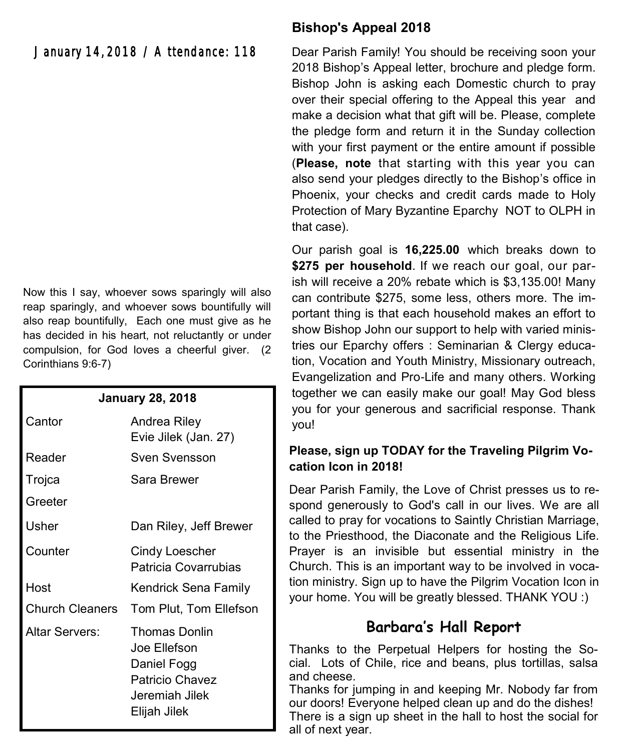January 14, 2018 / Attendance: 118

Now this I say, whoever sows sparingly will also reap sparingly, and whoever sows bountifully will also reap bountifully, Each one must give as he has decided in his heart, not reluctantly or under compulsion, for God loves a cheerful giver. (2 Corinthians 9:6-7)

| <b>January 28, 2018</b> |                                                                                                   |  |
|-------------------------|---------------------------------------------------------------------------------------------------|--|
| Cantor                  | Andrea Riley<br>Evie Jilek (Jan. 27)                                                              |  |
| Reader                  | Sven Svensson                                                                                     |  |
| Trojca                  | Sara Brewer                                                                                       |  |
| Greeter                 |                                                                                                   |  |
| Usher                   | Dan Riley, Jeff Brewer                                                                            |  |
| Counter                 | Cindy Loescher<br>Patricia Covarrubias                                                            |  |
| Host                    | Kendrick Sena Family                                                                              |  |
| <b>Church Cleaners</b>  | Tom Plut, Tom Ellefson                                                                            |  |
| Altar Servers:          | Thomas Donlin<br>Joe Ellefson<br>Daniel Fogg<br>Patricio Chavez<br>Jeremiah Jilek<br>Elijah Jilek |  |

# **Bishop's Appeal 2018**

Dear Parish Family! You should be receiving soon your 2018 Bishop's Appeal letter, brochure and pledge form. Bishop John is asking each Domestic church to pray over their special offering to the Appeal this year and make a decision what that gift will be. Please, complete the pledge form and return it in the Sunday collection with your first payment or the entire amount if possible (**Please, note** that starting with this year you can also send your pledges directly to the Bishop's office in Phoenix, your checks and credit cards made to Holy Protection of Mary Byzantine Eparchy NOT to OLPH in that case).

Our parish goal is **16,225.00** which breaks down to \$275 per household. If we reach our goal, our parish will receive a 20% rebate which is \$3,135.00! Many can contribute \$275, some less, others more. The important thing is that each household makes an effort to show Bishop John our support to help with varied ministries our Eparchy offers : Seminarian & Clergy education, Vocation and Youth Ministry, Missionary outreach, Evangelization and Pro-Life and many others. Working together we can easily make our goal! May God bless you for your generous and sacrificial response. Thank you!

### **Please, sign up TODAY for the Traveling Pilgrim Vocation Icon in 2018!**

Dear Parish Family, the Love of Christ presses us to respond generously to God's call in our lives. We are all called to pray for vocations to Saintly Christian Marriage, to the Priesthood, the Diaconate and the Religious Life. Prayer is an invisible but essential ministry in the Church. This is an important way to be involved in vocation ministry. Sign up to have the Pilgrim Vocation Icon in your home. You will be greatly blessed. THANK YOU :)

# **Barbara's Hall Report**

Thanks to the Perpetual Helpers for hosting the Social. Lots of Chile, rice and beans, plus tortillas, salsa and cheese.

Thanks for jumping in and keeping Mr. Nobody far from our doors! Everyone helped clean up and do the dishes! There is a sign up sheet in the hall to host the social for all of next year.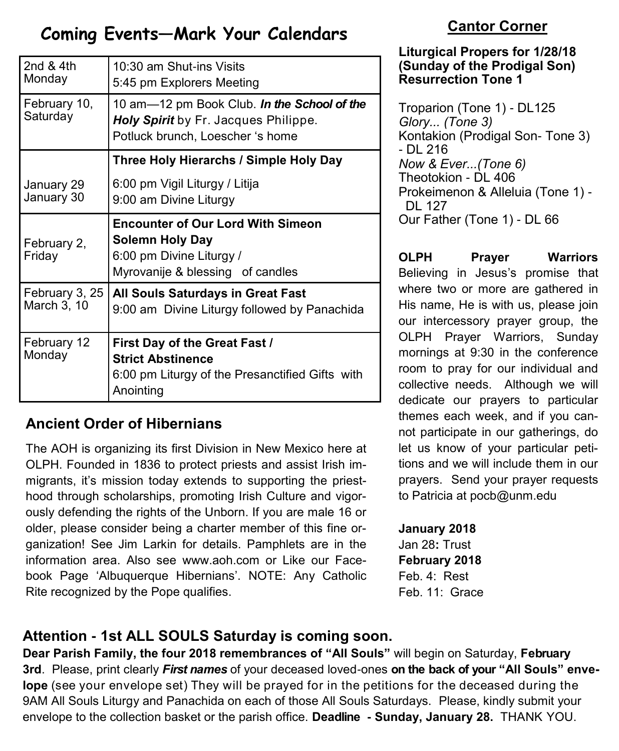# **Coming Events—Mark Your Calendars**

| 2nd $&$ 4th<br>Monday         | 10:30 am Shut-ins Visits<br>5:45 pm Explorers Meeting                                                                       |
|-------------------------------|-----------------------------------------------------------------------------------------------------------------------------|
| February 10,<br>Saturday      | 10 am-12 pm Book Club. In the School of the<br>Holy Spirit by Fr. Jacques Philippe.<br>Potluck brunch, Loescher 's home     |
|                               | Three Holy Hierarchs / Simple Holy Day                                                                                      |
| January 29<br>January 30      | 6:00 pm Vigil Liturgy / Litija<br>9:00 am Divine Liturgy                                                                    |
| February 2,<br>Friday         | <b>Encounter of Our Lord With Simeon</b><br>Solemn Holy Day<br>6:00 pm Divine Liturgy /<br>Myrovanije & blessing of candles |
| February 3, 25<br>March 3, 10 | <b>All Souls Saturdays in Great Fast</b><br>9:00 am Divine Liturgy followed by Panachida                                    |
| February 12<br>Monday         | First Day of the Great Fast /<br><b>Strict Abstinence</b><br>6:00 pm Liturgy of the Presanctified Gifts with<br>Anointing   |

# **Ancient Order of Hibernians**

The AOH is organizing its first Division in New Mexico here at OLPH. Founded in 1836 to protect priests and assist Irish immigrants, it's mission today extends to supporting the priesthood through scholarships, promoting Irish Culture and vigorously defending the rights of the Unborn. If you are male 16 or older, please consider being a charter member of this fine organization! See Jim Larkin for details. Pamphlets are in the information area. Also see [www.aoh.com o](http://www.aoh.com)r Like our Facebook Page 'Albuquerque Hibernians'. NOTE: Any Catholic Rite recognized by the Pope qualifies.

# **Cantor Corner**

### **Liturgical Propers for 1/28/18 (Sunday of the Prodigal Son) Resurrection Tone 1**

Troparion (Tone 1) - DL125 *Glory... (Tone 3)* Kontakion (Prodigal Son- Tone 3) - DL 216 *Now & Ever...(Tone 6)* Theotokion - DL 406 Prokeimenon & Alleluia (Tone 1) - DL 127 Our Father (Tone 1) - DL 66

**OLPH Prayer Warriors**  Believing in Jesus's promise that where two or more are gathered in His name, He is with us, please join our intercessory prayer group, the OLPH Prayer Warriors, Sunday mornings at 9:30 in the conference room to pray for our individual and collective needs. Although we will dedicate our prayers to particular themes each week, and if you cannot participate in our gatherings, do let us know of your particular petitions and we will include them in our prayers. Send your prayer requests to Patricia at pocb@unm.edu

**January 2018**  Jan 28**:** Trust **February 2018**  Feb. 4: Rest Feb. 11: Grace

# **Attention - 1st ALL SOULS Saturday is coming soon.**

**Dear Parish Family, the four 2018 remembrances of "All Souls"** will begin on Saturday, **February 3rd**. Please, print clearly *First names* of your deceased loved-ones **on the back of your "All Souls" envelope** (see your envelope set) They will be prayed for in the petitions for the deceased during the 9AM All Souls Liturgy and Panachida on each of those All Souls Saturdays. Please, kindly submit your envelope to the collection basket or the parish office. **Deadline - Sunday, January 28.** THANK YOU.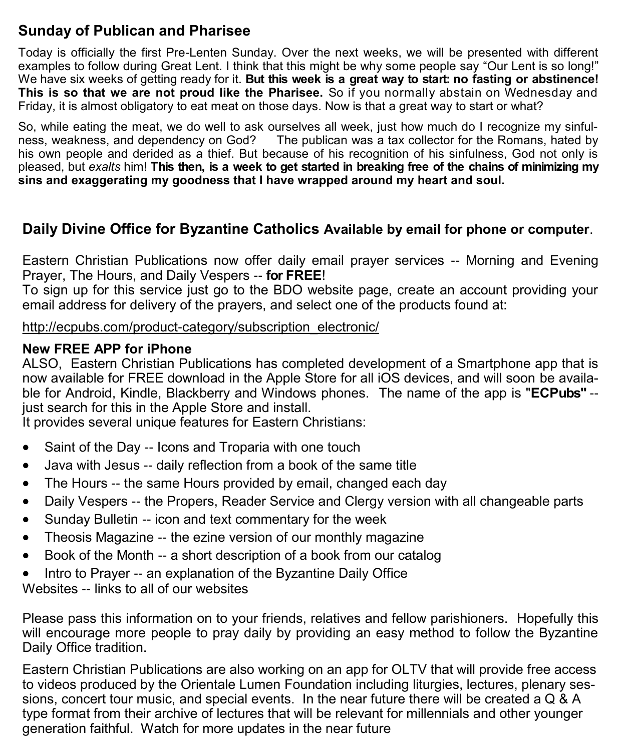# **Sunday of Publican and Pharisee**

Today is officially the first Pre-Lenten Sunday. Over the next weeks, we will be presented with different examples to follow during Great Lent. I think that this might be why some people say "Our Lent is so long!" We have six weeks of getting ready for it. **But this week is a great way to start: no fasting or abstinence! This is so that we are not proud like the Pharisee.** So if you normally abstain on Wednesday and Friday, it is almost obligatory to eat meat on those days. Now is that a great way to start or what?

So, while eating the meat, we do well to ask ourselves all week, just how much do I recognize my sinfulness, weakness, and dependency on God? The publican was a tax collector for the Romans, hated by his own people and derided as a thief. But because of his recognition of his sinfulness, God not only is pleased, but *exalts* him! **This then, is a week to get started in breaking free of the chains of minimizing my sins and exaggerating my goodness that I have wrapped around my heart and soul.** 

# **Daily Divine Office for Byzantine Catholics Available by email for phone or computer**.

Eastern Christian Publications now offer daily email prayer services -- Morning and Evening Prayer, The Hours, and Daily Vespers -- **for FREE**!

To sign up for this service just go to the BDO website page, create an account providing your email address for delivery of the prayers, and select one of the products found at:

http://ecpubs.com/product-[category/subscription\\_electronic/](http://ecpubs.com/product-category/subscription_electronic/)

# **New FREE APP for iPhone**

ALSO, Eastern Christian Publications has completed development of a Smartphone app that is now available for FREE download in the Apple Store for all iOS devices, and will soon be available for Android, Kindle, Blackberry and Windows phones. The name of the app is "**ECPubs"** - just search for this in the Apple Store and install.

It provides several unique features for Eastern Christians:

- Saint of the Day -- Icons and Troparia with one touch
- Java with Jesus -- daily reflection from a book of the same title
- The Hours -- the same Hours provided by email, changed each day
- Daily Vespers -- the Propers, Reader Service and Clergy version with all changeable parts
- Sunday Bulletin -- icon and text commentary for the week
- Theosis Magazine -- the ezine version of our monthly magazine
- Book of the Month -- a short description of a book from our catalog
- Intro to Prayer -- an explanation of the Byzantine Daily Office

Websites -- links to all of our websites

Please pass this information on to your friends, relatives and fellow parishioners. Hopefully this will encourage more people to pray daily by providing an easy method to follow the Byzantine Daily Office tradition.

Eastern Christian Publications are also working on an app for OLTV that will provide free access to videos produced by the Orientale Lumen Foundation including liturgies, lectures, plenary sessions, concert tour music, and special events. In the near future there will be created a Q & A type format from their archive of lectures that will be relevant for millennials and other younger generation faithful. Watch for more updates in the near future